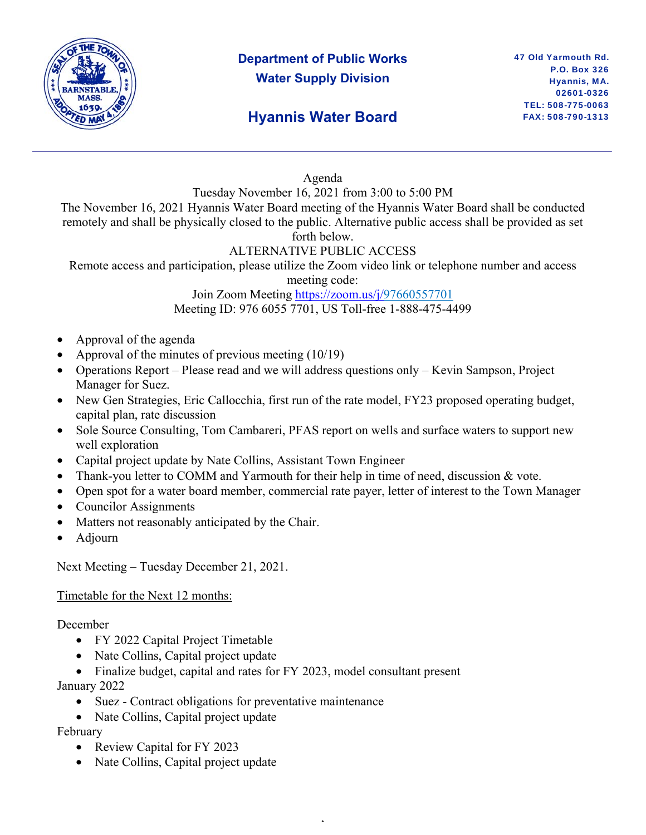

## **Department of Public Works Water Supply Division**

## **Hyannis Water Board**

Agenda

Tuesday November 16, 2021 from 3:00 to 5:00 PM

The November 16, 2021 Hyannis Water Board meeting of the Hyannis Water Board shall be conducted remotely and shall be physically closed to the public. Alternative public access shall be provided as set forth below.

#### ALTERNATIVE PUBLIC ACCESS

Remote access and participation, please utilize the Zoom video link or telephone number and access

meeting code:

Join Zoom Meeting https://zoom.us/j/97660557701 Meeting ID: 976 6055 7701, US Toll-free 1-888-475-4499

- Approval of the agenda
- Approval of the minutes of previous meeting (10/19)
- Operations Report Please read and we will address questions only Kevin Sampson, Project Manager for Suez.
- New Gen Strategies, Eric Callocchia, first run of the rate model, FY23 proposed operating budget, capital plan, rate discussion
- Sole Source Consulting, Tom Cambareri, PFAS report on wells and surface waters to support new well exploration
- Capital project update by Nate Collins, Assistant Town Engineer
- Thank-you letter to COMM and Yarmouth for their help in time of need, discussion & vote.
- Open spot for a water board member, commercial rate payer, letter of interest to the Town Manager

,

- Councilor Assignments
- Matters not reasonably anticipated by the Chair.
- Adjourn

Next Meeting – Tuesday December 21, 2021.

### Timetable for the Next 12 months:

December

- FY 2022 Capital Project Timetable
- Nate Collins, Capital project update
- Finalize budget, capital and rates for FY 2023, model consultant present January 2022
	- Suez Contract obligations for preventative maintenance
	- Nate Collins, Capital project update

February

- Review Capital for FY 2023
- Nate Collins, Capital project update